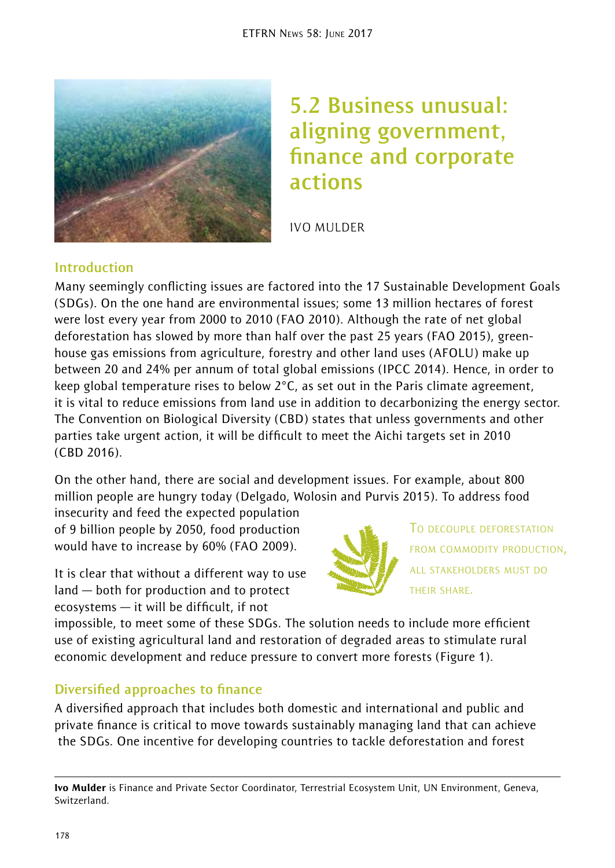

# **5.2 Business unusual: aligning government, finance and corporate actions**

IVO MULDER

#### **Introduction**

Many seemingly conflicting issues are factored into the 17 Sustainable Development Goals (SDGs). On the one hand are environmental issues; some 13 million hectares of forest were lost every year from 2000 to 2010 (FAO 2010). Although the rate of net global deforestation has slowed by more than half over the past 25 years (FAO 2015), greenhouse gas emissions from agriculture, forestry and other land uses (AFOLU) make up between 20 and 24% per annum of total global emissions (IPCC 2014). Hence, in order to keep global temperature rises to below 2°C, as set out in the Paris climate agreement, it is vital to reduce emissions from land use in addition to decarbonizing the energy sector. The Convention on Biological Diversity (CBD) states that unless governments and other parties take urgent action, it will be difficult to meet the Aichi targets set in 2010 (CBD 2016).

On the other hand, there are social and development issues. For example, about 800 million people are hungry today (Delgado, Wolosin and Purvis 2015). To address food

insecurity and feed the expected population of 9 billion people by 2050, food production would have to increase by 60% (FAO 2009).

It is clear that without a different way to use land — both for production and to protect ecosystems — it will be difficult, if not



TO DECOUPLE DEFORESTATION FROM COMMODITY PRODUCTION, ALL STAKEHOLDERS MUST DO THEIR SHARE.

impossible, to meet some of these SDGs. The solution needs to include more efficient use of existing agricultural land and restoration of degraded areas to stimulate rural economic development and reduce pressure to convert more forests (Figure 1).

### **Diversified approaches to finance**

A diversified approach that includes both domestic and international and public and private finance is critical to move towards sustainably managing land that can achieve the SDGs. One incentive for developing countries to tackle deforestation and forest

Ivo Mulder is Finance and Private Sector Coordinator, Terrestrial Ecosystem Unit, UN Environment, Geneva, Switzerland.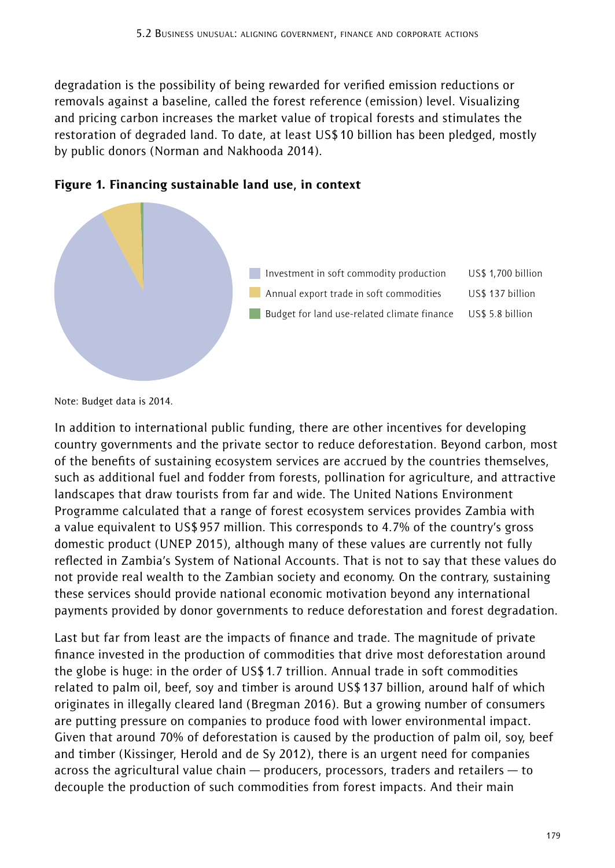degradation is the possibility of being rewarded for verified emission reductions or removals against a baseline, called the forest reference (emission) level. Visualizing and pricing carbon increases the market value of tropical forests and stimulates the restoration of degraded land. To date, at least US\$10 billion has been pledged, mostly by public donors (Norman and Nakhooda 2014).





Note: Budget data is 2014.

In addition to international public funding, there are other incentives for developing country governments and the private sector to reduce deforestation. Beyond carbon, most of the benefits of sustaining ecosystem services are accrued by the countries themselves, such as additional fuel and fodder from forests, pollination for agriculture, and attractive landscapes that draw tourists from far and wide. The United Nations Environment Programme calculated that a range of forest ecosystem services provides Zambia with a value equivalent to US\$957 million. This corresponds to 4.7% of the country's gross domestic product (UNEP 2015), although many of these values are currently not fully reflected in Zambia's System of National Accounts. That is not to say that these values do not provide real wealth to the Zambian society and economy. On the contrary, sustaining these services should provide national economic motivation beyond any international payments provided by donor governments to reduce deforestation and forest degradation.

Last but far from least are the impacts of finance and trade. The magnitude of private finance invested in the production of commodities that drive most deforestation around the globe is huge: in the order of US\$1.7 trillion. Annual trade in soft commodities related to palm oil, beef, soy and timber is around US\$137 billion, around half of which originates in illegally cleared land (Bregman 2016). But a growing number of consumers are putting pressure on companies to produce food with lower environmental impact. Given that around 70% of deforestation is caused by the production of palm oil, soy, beef and timber (Kissinger, Herold and de Sy 2012), there is an urgent need for companies across the agricultural value chain — producers, processors, traders and retailers — to decouple the production of such commodities from forest impacts. And their main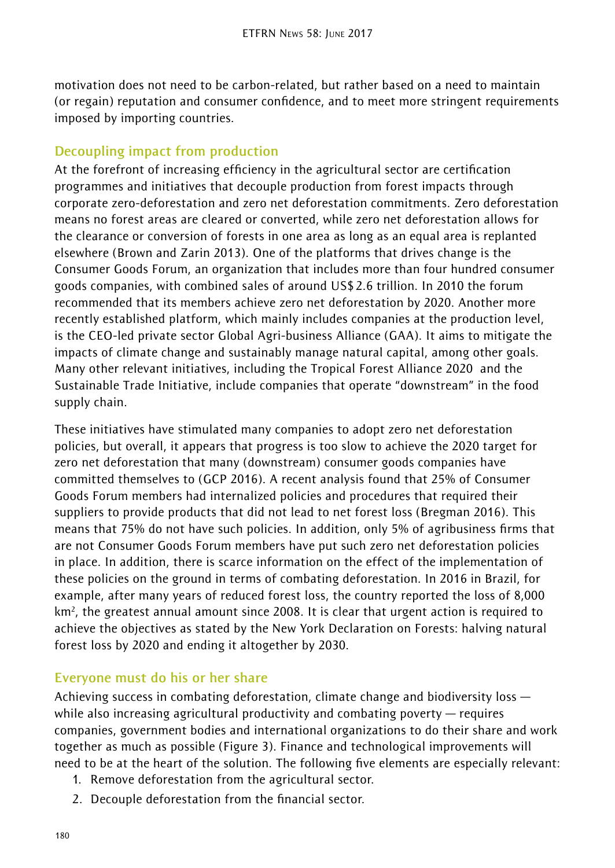motivation does not need to be carbon-related, but rather based on a need to maintain (or regain) reputation and consumer confidence, and to meet more stringent requirements imposed by importing countries.

## **Decoupling impact from production**

At the forefront of increasing efficiency in the agricultural sector are certification programmes and initiatives that decouple production from forest impacts through corporate zero-deforestation and zero net deforestation commitments. Zero deforestation means no forest areas are cleared or converted, while zero net deforestation allows for the clearance or conversion of forests in one area as long as an equal area is replanted elsewhere (Brown and Zarin 2013). One of the platforms that drives change is the Consumer Goods Forum, an organization that includes more than four hundred consumer goods companies, with combined sales of around US\$2.6 trillion. In 2010 the forum recommended that its members achieve zero net deforestation by 2020. Another more recently established platform, which mainly includes companies at the production level, is the CEO-led private sector Global Agri-business Alliance (GAA). It aims to mitigate the impacts of climate change and sustainably manage natural capital, among other goals. Many other relevant initiatives, including the Tropical Forest Alliance 2020 and the Sustainable Trade Initiative, include companies that operate "downstream" in the food supply chain.

These initiatives have stimulated many companies to adopt zero net deforestation policies, but overall, it appears that progress is too slow to achieve the 2020 target for zero net deforestation that many (downstream) consumer goods companies have committed themselves to (GCP 2016). A recent analysis found that 25% of Consumer Goods Forum members had internalized policies and procedures that required their suppliers to provide products that did not lead to net forest loss (Bregman 2016). This means that 75% do not have such policies. In addition, only 5% of agribusiness firms that are not Consumer Goods Forum members have put such zero net deforestation policies in place. In addition, there is scarce information on the effect of the implementation of these policies on the ground in terms of combating deforestation. In 2016 in Brazil, for example, after many years of reduced forest loss, the country reported the loss of 8,000 km2 , the greatest annual amount since 2008. It is clear that urgent action is required to achieve the objectives as stated by the New York Declaration on Forests: halving natural forest loss by 2020 and ending it altogether by 2030.

#### **Everyone must do his or her share**

Achieving success in combating deforestation, climate change and biodiversity loss while also increasing agricultural productivity and combating poverty — requires companies, government bodies and international organizations to do their share and work together as much as possible (Figure 3). Finance and technological improvements will need to be at the heart of the solution. The following five elements are especially relevant:

- 1. Remove deforestation from the agricultural sector.
- 2. Decouple deforestation from the financial sector.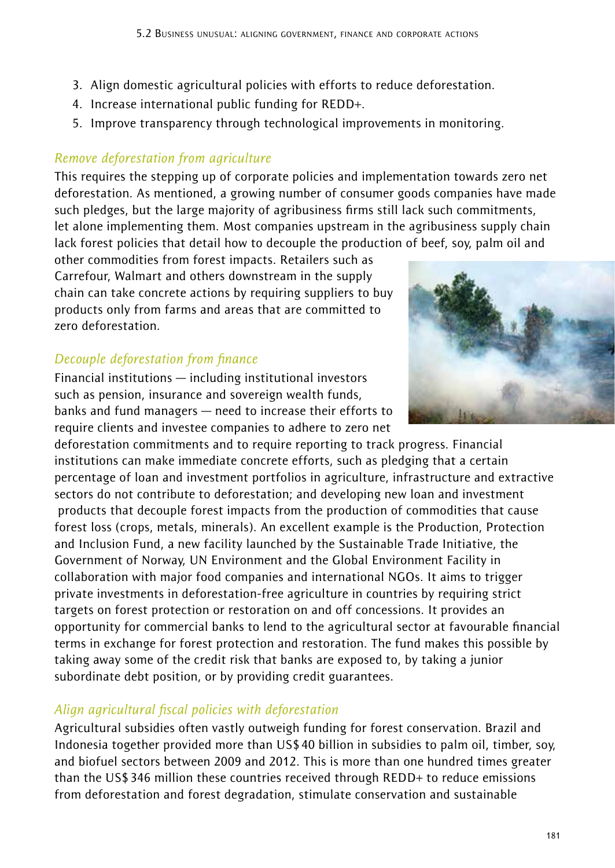- 3. Align domestic agricultural policies with efforts to reduce deforestation.
- 4. Increase international public funding for REDD+.
- 5. Improve transparency through technological improvements in monitoring.

# *Remove deforestation from agriculture*

This requires the stepping up of corporate policies and implementation towards zero net deforestation. As mentioned, a growing number of consumer goods companies have made such pledges, but the large majority of agribusiness firms still lack such commitments, let alone implementing them. Most companies upstream in the agribusiness supply chain lack forest policies that detail how to decouple the production of beef, soy, palm oil and

other commodities from forest impacts. Retailers such as Carrefour, Walmart and others downstream in the supply chain can take concrete actions by requiring suppliers to buy products only from farms and areas that are committed to zero deforestation.

### *Decouple deforestation from finance*

Financial institutions — including institutional investors such as pension, insurance and sovereign wealth funds, banks and fund managers — need to increase their efforts to require clients and investee companies to adhere to zero net



deforestation commitments and to require reporting to track progress. Financial institutions can make immediate concrete efforts, such as pledging that a certain percentage of loan and investment portfolios in agriculture, infrastructure and extractive sectors do not contribute to deforestation; and developing new loan and investment products that decouple forest impacts from the production of commodities that cause forest loss (crops, metals, minerals). An excellent example is the Production, Protection and Inclusion Fund, a new facility launched by the Sustainable Trade Initiative, the Government of Norway, UN Environment and the Global Environment Facility in collaboration with major food companies and international NGOs. It aims to trigger private investments in deforestation-free agriculture in countries by requiring strict targets on forest protection or restoration on and off concessions. It provides an opportunity for commercial banks to lend to the agricultural sector at favourable financial terms in exchange for forest protection and restoration. The fund makes this possible by taking away some of the credit risk that banks are exposed to, by taking a junior subordinate debt position, or by providing credit guarantees.

# *Align agricultural fiscal policies with deforestation*

Agricultural subsidies often vastly outweigh funding for forest conservation. Brazil and Indonesia together provided more than US\$40 billion in subsidies to palm oil, timber, soy, and biofuel sectors between 2009 and 2012. This is more than one hundred times greater than the US\$346 million these countries received through REDD+ to reduce emissions from deforestation and forest degradation, stimulate conservation and sustainable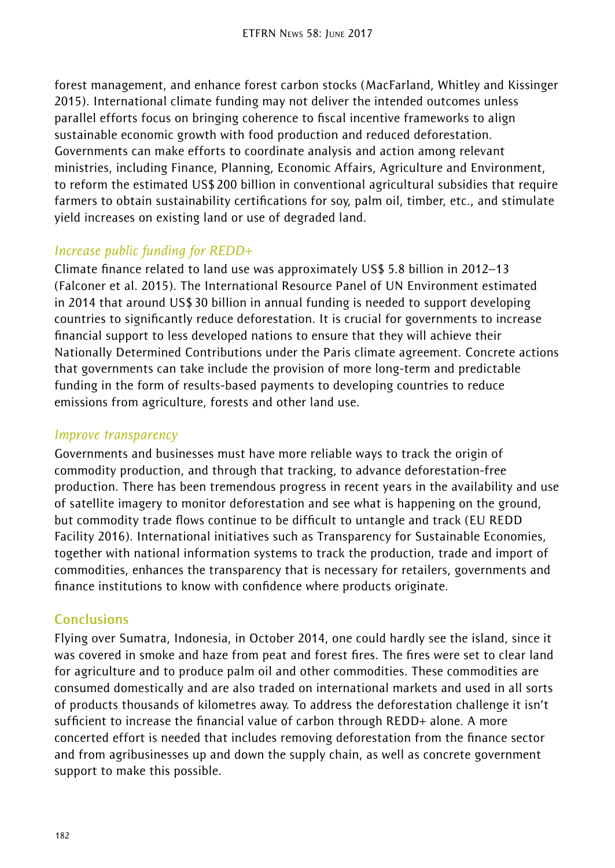forest management, and enhance forest carbon stocks (MacFarland, Whitley and Kissinger 2015). International climate funding may not deliver the intended outcomes unless parallel efforts focus on bringing coherence to fiscal incentive frameworks to align sustainable economic growth with food production and reduced deforestation. Governments can make efforts to coordinate analysis and action among relevant ministries, including Finance, Planning, Economic Affairs, Agriculture and Environment, to reform the estimated US\$200 billion in conventional agricultural subsidies that require farmers to obtain sustainability certifications for soy, palm oil, timber, etc., and stimulate yield increases on existing land or use of degraded land.

## *Increase public funding for REDD+*

Climate finance related to land use was approximately US\$ 5.8 billion in 2012–13 (Falconer et al. 2015). The International Resource Panel of UN Environment estimated in 2014 that around US\$30 billion in annual funding is needed to support developing countries to significantly reduce deforestation. It is crucial for governments to increase financial support to less developed nations to ensure that they will achieve their Nationally Determined Contributions under the Paris climate agreement. Concrete actions that governments can take include the provision of more long-term and predictable funding in the form of results-based payments to developing countries to reduce emissions from agriculture, forests and other land use.

#### *Improve transparency*

Governments and businesses must have more reliable ways to track the origin of commodity production, and through that tracking, to advance deforestation-free production. There has been tremendous progress in recent years in the availability and use of satellite imagery to monitor deforestation and see what is happening on the ground, but commodity trade flows continue to be difficult to untangle and track (EU REDD Facility 2016). International initiatives such as Transparency for Sustainable Economies, together with national information systems to track the production, trade and import of commodities, enhances the transparency that is necessary for retailers, governments and finance institutions to know with confidence where products originate.

### **Conclusions**

Flying over Sumatra, Indonesia, in October 2014, one could hardly see the island, since it was covered in smoke and haze from peat and forest fires. The fires were set to clear land for agriculture and to produce palm oil and other commodities. These commodities are consumed domestically and are also traded on international markets and used in all sorts of products thousands of kilometres away. To address the deforestation challenge it isn't sufficient to increase the financial value of carbon through REDD+ alone. A more concerted effort is needed that includes removing deforestation from the finance sector and from agribusinesses up and down the supply chain, as well as concrete government support to make this possible.